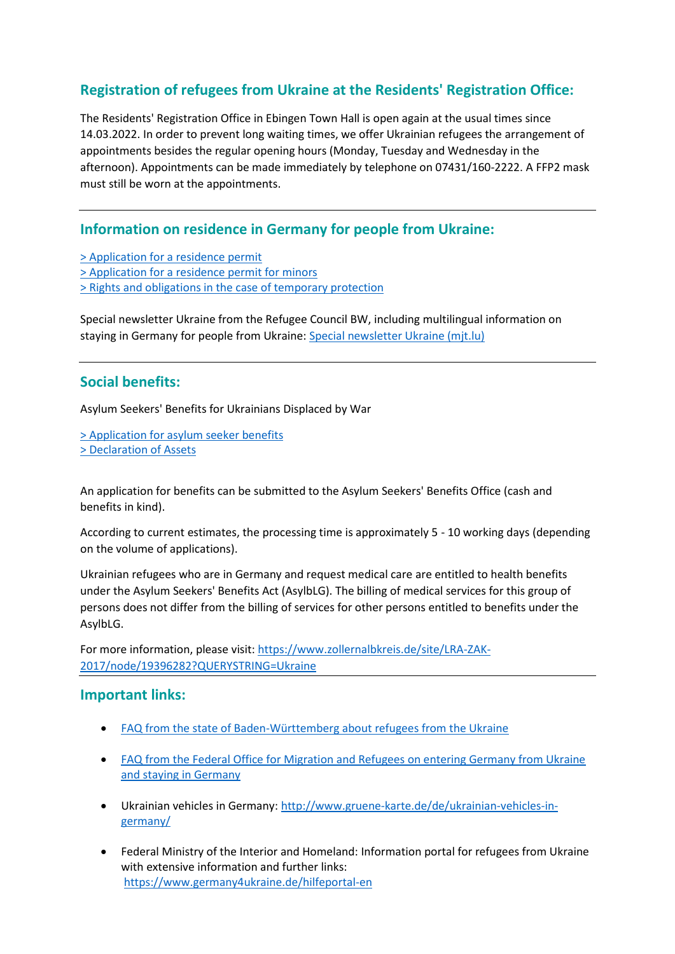## **Registration of refugees from Ukraine at the Residents' Registration Office:**

The Residents' Registration Office in Ebingen Town Hall is open again at the usual times since 14.03.2022. In order to prevent long waiting times, we offer Ukrainian refugees the arrangement of appointments besides the regular opening hours (Monday, Tuesday and Wednesday in the afternoon). Appointments can be made immediately by telephone on 07431/160-2222. A FFP2 mask must still be worn at the appointments.

## **Information on residence in Germany for people from Ukraine:**

- [> Application for a residence permit](https://www.albstadt.de/uploads/Antrag%20auf%20Erteilung%20einer%20Aufenthaltserlaubnis%20(Ukraine)_3172-820f3bdaf2c52f9d7fded3d69fedce52.pdf)
- [> Application for a residence permit for minors](https://www.albstadt.de/uploads/Antrag%20auf%20Erteilung%20einer%20Aufenthaltserlaubnis%20f%C3%BCr%20Minderj%C3%A4hrige_7364-0d3d05317450eea489554a254200423a.pdf)
- [> Rights and obligations in the case of temporary protection](https://www.albstadt.de/uploads/CDR_220314%20Merkblatt%20Rechte%20und%20Pflichten%20beim%20vor%C3%83%C6%92%C3%82%C2%BCbergehenden%20Schutz_EN_338-7f305740b9c8bcce2cd740e7bc382ae9.pdf)

Special newsletter Ukraine from the Refugee Council BW, including multilingual information on staying in Germany for people from Ukraine: [Special newsletter Ukraine \(mjt.lu\)](http://xi7rx.mjt.lu/nl2/xi7rx/1vxn.html?m=AMAAALy3YsIAAAAP4H4AAAlFRaEAAAAA5eMAAHr3ABT3xwBiJ4iPwIGnu1ZcQre_CBG9hv4dVgAUxPM&b=f8b90fa8&e=59f9e991&x=bygW0spg7rYJXyNhWsNtPZHRSphC-8xk3OpIk-3IKCI)

## **Social benefits:**

Asylum Seekers' Benefits for Ukrainians Displaced by War

[> Application for asylum seeker benefits](https://www.albstadt.de/uploads/Antrag%20Asylbewerberleistungen_9837-20fd418b30051a7e31e8d195dbad8e00.pdf) [> Declaration of Assets](https://www.albstadt.de/uploads/Verm%C3%B6genserkl%C3%A4rung_5135-5b8888882f2c35a8c71532d22dad18a0.pdf)

An application for benefits can be submitted to the Asylum Seekers' Benefits Office (cash and benefits in kind).

According to current estimates, the processing time is approximately 5 - 10 working days (depending on the volume of applications).

Ukrainian refugees who are in Germany and request medical care are entitled to health benefits under the Asylum Seekers' Benefits Act (AsylbLG). The billing of medical services for this group of persons does not differ from the billing of services for other persons entitled to benefits under the AsylbLG.

For more information, please visit[: https://www.zollernalbkreis.de/site/LRA-ZAK-](https://www.zollernalbkreis.de/site/LRA-ZAK-2017/node/19396282?QUERYSTRING=Ukraine)[2017/node/19396282?QUERYSTRING=Ukraine](https://www.zollernalbkreis.de/site/LRA-ZAK-2017/node/19396282?QUERYSTRING=Ukraine)

### **Important links:**

- [FAQ from the state of Baden-Württemberg about refugees from the Ukraine](https://www.justiz-bw.de/,Lde/Startseite/Auslaender+und+Fluechtlingspolitik/FAQ)
- **FAQ from the Federal Office for Migration and Refugees on entering Germany from Ukraine** [and staying in Germany](https://www.bamf.de/SharedDocs/Anlagen/DE/AsylFluechtlingsschutz/faq-ukraine.html)
- Ukrainian vehicles in Germany: [http://www.gruene-karte.de/de/ukrainian-vehicles-in](http://www.gruene-karte.de/de/ukrainian-vehicles-in-germany/)[germany/](http://www.gruene-karte.de/de/ukrainian-vehicles-in-germany/)
- Federal Ministry of the Interior and Homeland: Information portal for refugees from Ukraine with extensive information and further links: <https://www.germany4ukraine.de/hilfeportal-en>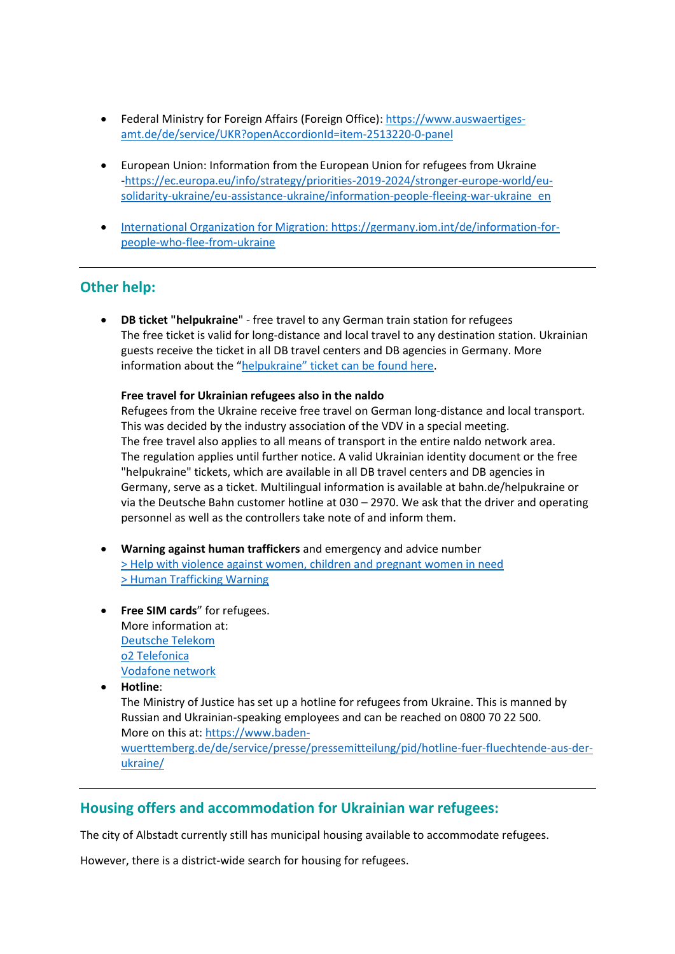- Federal Ministry for Foreign Affairs (Foreign Office): [https://www.auswaertiges](https://www.auswaertiges-amt.de/de/service/UKR?openAccordionId=item-2513220-0-panel)[amt.de/de/service/UKR?openAccordionId=item-2513220-0-panel](https://www.auswaertiges-amt.de/de/service/UKR?openAccordionId=item-2513220-0-panel)
- European Union: Information from the European Union for refugees from Ukraine [-https://ec.europa.eu/info/strategy/priorities-2019-2024/stronger-europe-world/eu](https://ec.europa.eu/info/strategy/priorities-2019-2024/stronger-europe-world/eu-solidarity-ukraine/eu-assistance-ukraine/information-people-fleeing-war-ukraine_en)[solidarity-ukraine/eu-assistance-ukraine/information-people-fleeing-war-ukraine\\_en](https://ec.europa.eu/info/strategy/priorities-2019-2024/stronger-europe-world/eu-solidarity-ukraine/eu-assistance-ukraine/information-people-fleeing-war-ukraine_en)
- [International Organization for Migration: https://germany.iom.int/de/information-for](International%20Organization%20for%20Migration:%20https:/germany.iom.int/de/information-for-people-who-flee-from-ukraine)[people-who-flee-from-ukraine](International%20Organization%20for%20Migration:%20https:/germany.iom.int/de/information-for-people-who-flee-from-ukraine)

## **Other help:**

 **DB ticket "helpukraine**" - free travel to any German train station for refugees The free ticket is valid for long-distance and local travel to any destination station. Ukrainian guests receive the ticket in all DB travel centers and DB agencies in Germany. More information about the ["helpukraine" ticket can be found here](https://www.deutschebahn.com/de/presse/pressestart_zentrales_uebersicht/Ticket-helpukraine-sichert-Gefluechteten-kostenfreie-Fahrt-zu-jedem-deutschen-Bahnhof--7314512).

#### **Free travel for Ukrainian refugees also in the naldo**

Refugees from the Ukraine receive free travel on German long-distance and local transport. This was decided by the industry association of the VDV in a special meeting. The free travel also applies to all means of transport in the entire naldo network area. The regulation applies until further notice. A valid Ukrainian identity document or the free "helpukraine" tickets, which are available in all DB travel centers and DB agencies in Germany, serve as a ticket. Multilingual information is available at bahn.de/helpukraine or via the Deutsche Bahn customer hotline at 030 – 2970. We ask that the driver and operating personnel as well as the controllers take note of and inform them.

- **Warning against human traffickers** and emergency and advice number [> Help with violence against women, children and pregnant women in need](https://www.albstadt.de/uploads/Hilfe%20bei%20Gewalt%20gegen%20Frauen%20_9564-00d23321110baa85f6ff3c7c4bf7dab2.PDF) [> Human Trafficking Warning](https://www.albstadt.de/uploads/Menschenhandel%20engl_3958-d5817a1ecc15a86d9208762943e39aa4.PDF)
- **Free SIM cards**" for refugees. More information at: [Deutsche Telekom](https://www.telekom.com/de/medien/medieninformationen/detail/kostenlose-sim-karten-fuer-gefluechtete-aus-der-ukraine-650244) [o2 Telefonica](https://www.telefonica.de/news/corporate/2022/03/hilfsaktion-o2-telefonica-stellt-sim-karten-und-wlan-router-fuer-gefluechtete-aus-ukraine-bereit.html) [Vodafone network](https://www.vodafone.de/newsroom/unternehmen/kostenloses-netz-fuer-fluechtlinge-unterkuenfte/)

**Hotline**:

The Ministry of Justice has set up a hotline for refugees from Ukraine. This is manned by Russian and Ukrainian-speaking employees and can be reached on 0800 70 22 500. More on this at: [https://www.baden](https://www.baden-wuerttemberg.de/de/service/presse/pressemitteilung/pid/hotline-fuer-fluechtende-aus-der-ukraine/)[wuerttemberg.de/de/service/presse/pressemitteilung/pid/hotline-fuer-fluechtende-aus-der](https://www.baden-wuerttemberg.de/de/service/presse/pressemitteilung/pid/hotline-fuer-fluechtende-aus-der-ukraine/)[ukraine/](https://www.baden-wuerttemberg.de/de/service/presse/pressemitteilung/pid/hotline-fuer-fluechtende-aus-der-ukraine/)

### **Housing offers and accommodation for Ukrainian war refugees:**

The city of Albstadt currently still has municipal housing available to accommodate refugees.

However, there is a district-wide search for housing for refugees.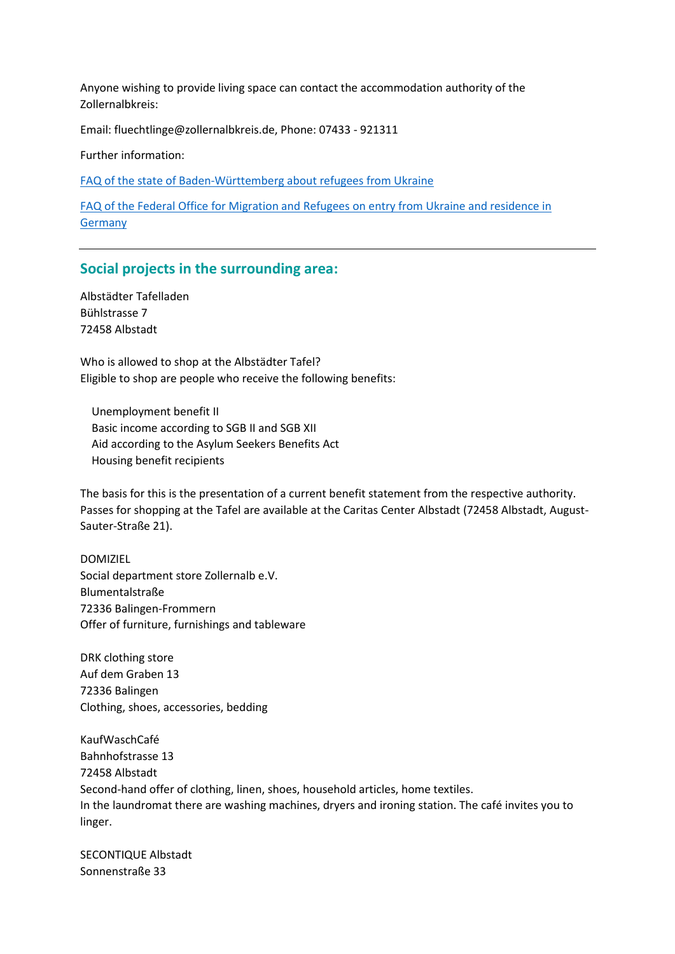Anyone wishing to provide living space can contact the accommodation authority of the Zollernalbkreis:

Email: fluechtlinge@zollernalbkreis.de, Phone: 07433 - 921311

Further information:

[FAQ of the state of Baden-Württemberg about refugees from Ukraine](https://www.justiz-bw.de/,Lde/Startseite/Auslaender+und+Fluechtlingspolitik/FAQ)

FAQ of the Federal Office for Migration and [Refugees on entry from Ukraine and residence in](https://www.bamf.de/SharedDocs/Anlagen/DE/AsylFluechtlingsschutz/faq-ukraine.html)  [Germany](https://www.bamf.de/SharedDocs/Anlagen/DE/AsylFluechtlingsschutz/faq-ukraine.html)

#### **Social projects in the surrounding area:**

Albstädter Tafelladen Bühlstrasse 7 72458 Albstadt

Who is allowed to shop at the Albstädter Tafel? Eligible to shop are people who receive the following benefits:

 Unemployment benefit II Basic income according to SGB II and SGB XII Aid according to the Asylum Seekers Benefits Act Housing benefit recipients

The basis for this is the presentation of a current benefit statement from the respective authority. Passes for shopping at the Tafel are available at the Caritas Center Albstadt (72458 Albstadt, August-Sauter-Straße 21).

DOMIZIEL Social department store Zollernalb e.V. Blumentalstraße 72336 Balingen-Frommern Offer of furniture, furnishings and tableware

DRK clothing store Auf dem Graben 13 72336 Balingen Clothing, shoes, accessories, bedding

KaufWaschCafé Bahnhofstrasse 13 72458 Albstadt Second-hand offer of clothing, linen, shoes, household articles, home textiles. In the laundromat there are washing machines, dryers and ironing station. The café invites you to linger.

SECONTIQUE Albstadt Sonnenstraße 33